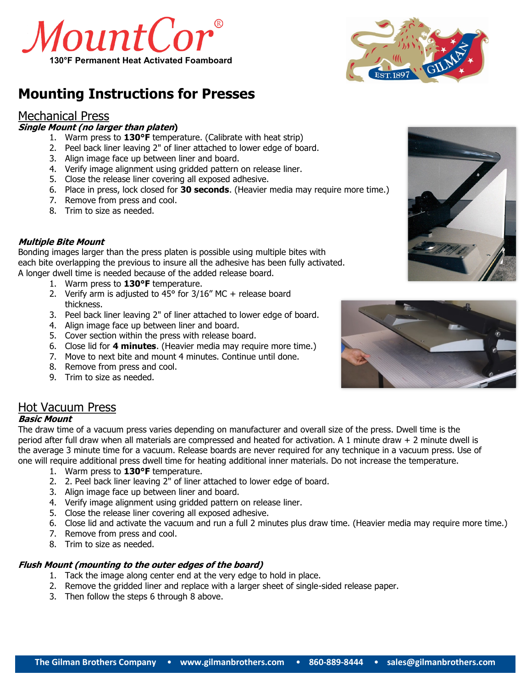



# **Mounting Instructions for Presses**

## Mechanical Press

## **Single Mount (no larger than platen)**

- 1. Warm press to **130°F** temperature. (Calibrate with heat strip)
- 2. Peel back liner leaving 2" of liner attached to lower edge of board.
- 3. Align image face up between liner and board.
- 4. Verify image alignment using gridded pattern on release liner.
- 5. Close the release liner covering all exposed adhesive.
- 6. Place in press, lock closed for **30 seconds**. (Heavier media may require more time.)
- 7. Remove from press and cool.
- 8. Trim to size as needed.

## **Multiple Bite Mount**

Bonding images larger than the press platen is possible using multiple bites with each bite overlapping the previous to insure all the adhesive has been fully activated. A longer dwell time is needed because of the added release board.

- 1. Warm press to **130°F** temperature.
- 2. Verify arm is adjusted to 45 $\degree$  for 3/16" MC + release board thickness.
- 3. Peel back liner leaving 2" of liner attached to lower edge of board.
- 4. Align image face up between liner and board.
- 5. Cover section within the press with release board.
- 6. Close lid for **4 minutes**. (Heavier media may require more time.)
- 7. Move to next bite and mount 4 minutes. Continue until done.
- 8. Remove from press and cool.
- 9. Trim to size as needed.



#### **Basic Mount**

The draw time of a vacuum press varies depending on manufacturer and overall size of the press. Dwell time is the period after full draw when all materials are compressed and heated for activation. A 1 minute draw + 2 minute dwell is the average 3 minute time for a vacuum. Release boards are never required for any technique in a vacuum press. Use of one will require additional press dwell time for heating additional inner materials. Do not increase the temperature.

- 1. Warm press to **130°F** temperature.
- 2. 2. Peel back liner leaving 2" of liner attached to lower edge of board.
- 3. Align image face up between liner and board.
- 4. Verify image alignment using gridded pattern on release liner.
- 5. Close the release liner covering all exposed adhesive.
- 6. Close lid and activate the vacuum and run a full 2 minutes plus draw time. (Heavier media may require more time.)
- 7. Remove from press and cool.
- 8. Trim to size as needed.

#### **Flush Mount (mounting to the outer edges of the board)**

- 1. Tack the image along center end at the very edge to hold in place.
- 2. Remove the gridded liner and replace with a larger sheet of single-sided release paper.
- 3. Then follow the steps 6 through 8 above.